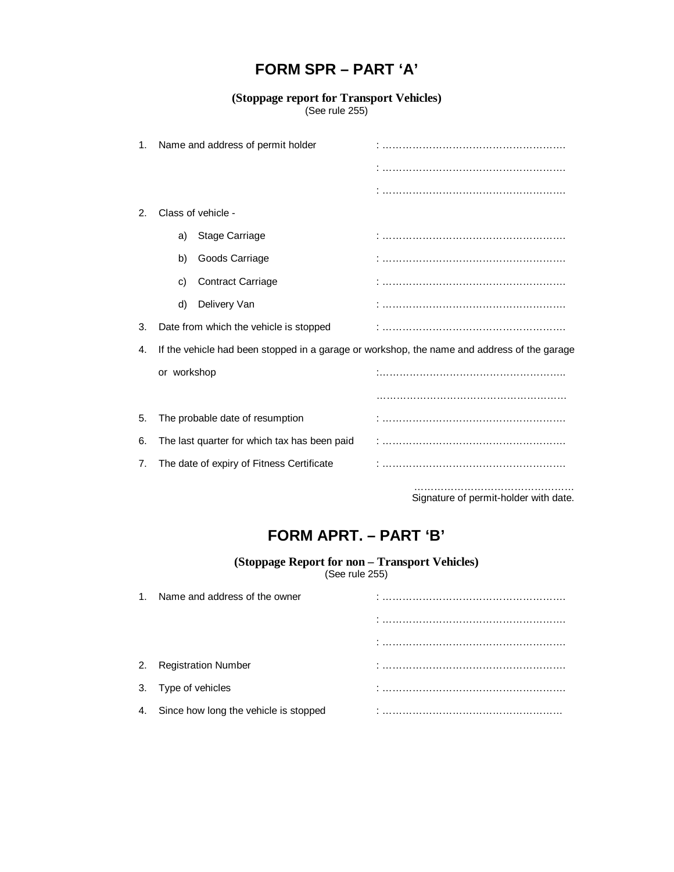## **FORM SPR – PART 'A'**

## **(Stoppage report for Transport Vehicles)** (See rule 255)

| 1. | Name and address of permit holder                                                           |                          |  |
|----|---------------------------------------------------------------------------------------------|--------------------------|--|
|    |                                                                                             |                          |  |
|    |                                                                                             |                          |  |
| 2. |                                                                                             | Class of vehicle -       |  |
|    | a)                                                                                          | Stage Carriage           |  |
|    | b)                                                                                          | Goods Carriage           |  |
|    | C)                                                                                          | <b>Contract Carriage</b> |  |
|    | d)                                                                                          | Delivery Van             |  |
| 3. | Date from which the vehicle is stopped                                                      |                          |  |
| 4. | If the vehicle had been stopped in a garage or workshop, the name and address of the garage |                          |  |
|    | or workshop                                                                                 |                          |  |
|    |                                                                                             |                          |  |
| 5. | The probable date of resumption                                                             |                          |  |
| 6. | The last quarter for which tax has been paid                                                |                          |  |
| 7. | The date of expiry of Fitness Certificate                                                   |                          |  |
|    |                                                                                             |                          |  |

Signature of permit-holder with date.

## **FORM APRT. – PART 'B'**

## **(Stoppage Report for non – Transport Vehicles)**

(See rule 255)

| 1. Name and address of the owner         |  |
|------------------------------------------|--|
|                                          |  |
|                                          |  |
| 2. Registration Number                   |  |
| 3. Type of vehicles                      |  |
| 4. Since how long the vehicle is stopped |  |